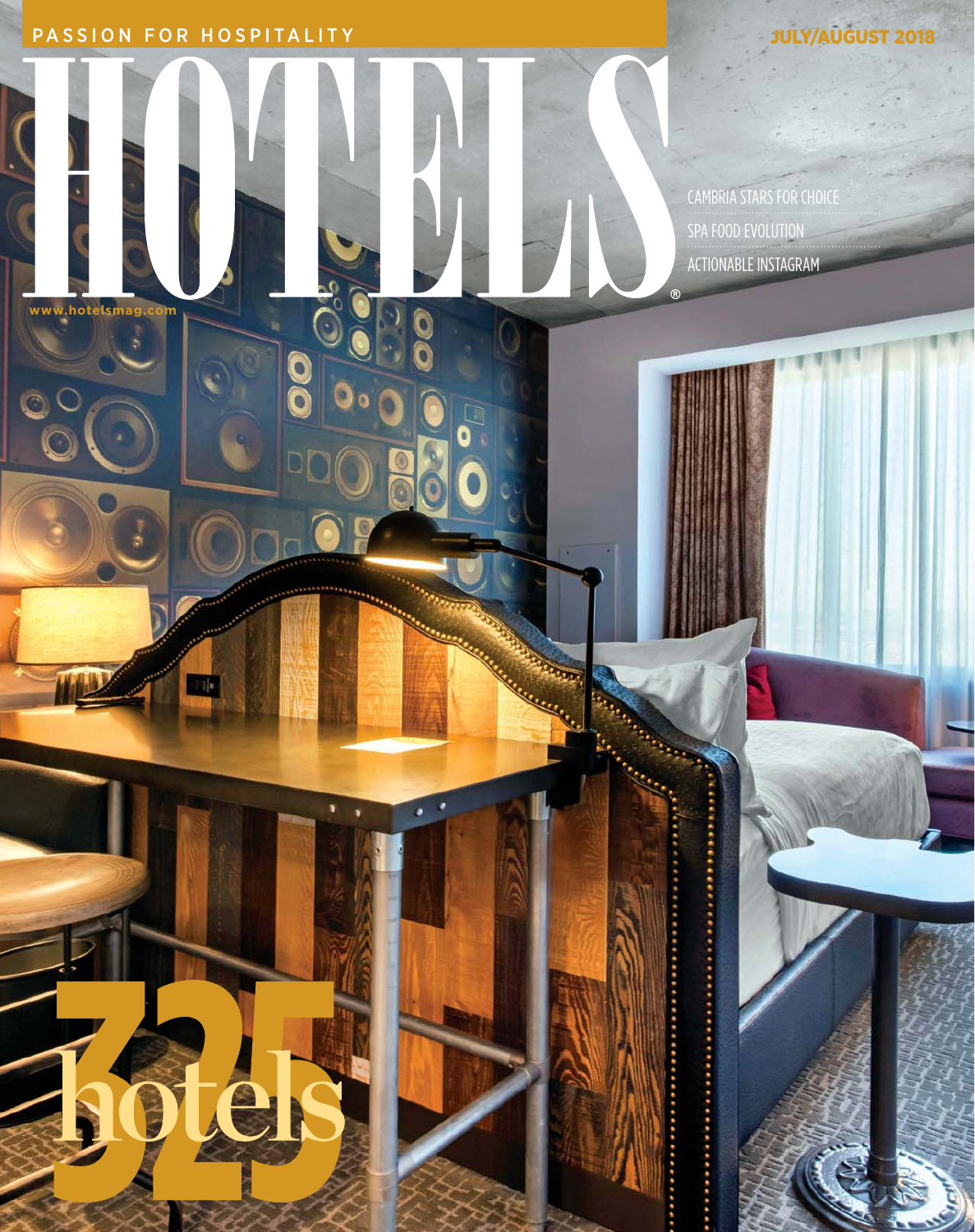PASSION FOR HOSPITALITY **Support of the CONSTANT OF STATE OF AUGUST 2018** 

**www.hotelsmag.com** 

CAMBRIA STARS FOR CHOICE SPA FOOD EVOLUTION ACTIONABLE INSTAGRAM

 $O_{3}^{2}$ 

 $\overline{\mathbf{0}}$ 

O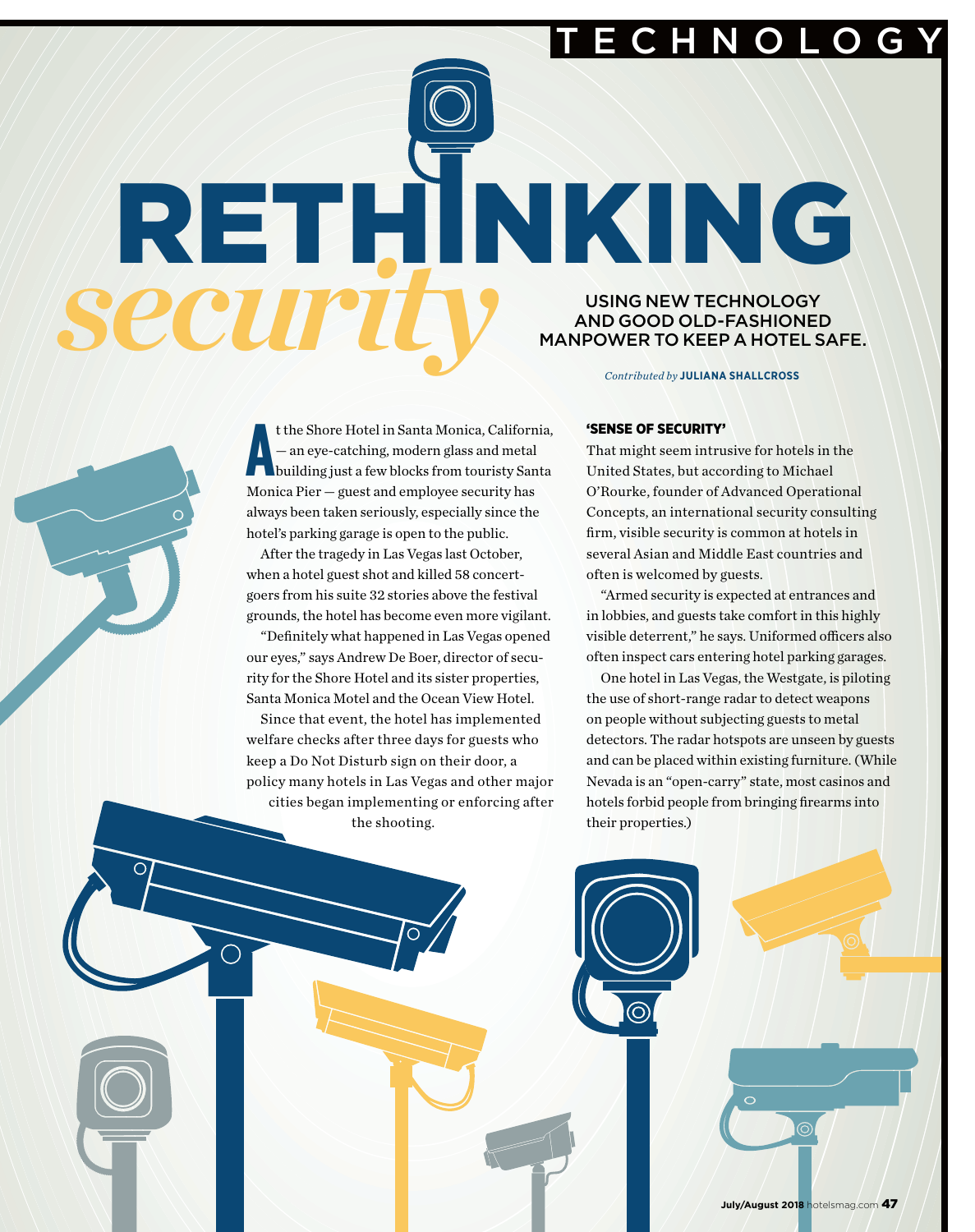E C H N O L O G Y

**SECUIPTIV** USING NEW TECHNOLOGY<br>MANPOWER TO KEEP A HOTELS AND GOOD OLD-FASHIONED MANPOWER TO KEEP A HOTEL SAFE.

*Contributed by* **JULIANA SHALLCROSS**

**A** t the Shore Hotel in Santa Monica, California, — an eye-catching, modern glass and metal building just a few blocks from touristy Santa Monica Pier — guest and employee security has always been taken seriously, especially since the hotel's parking garage is open to the public.

RETHINKING

After the tragedy in Las Vegas last October, when a hotel guest shot and killed 58 concertgoers from his suite 32 stories above the festival grounds, the hotel has become even more vigilant.

"Definitely what happened in Las Vegas opened our eyes," says Andrew De Boer, director of security for the Shore Hotel and its sister properties, Santa Monica Motel and the Ocean View Hotel.

Since that event, the hotel has implemented welfare checks after three days for guests who keep a Do Not Disturb sign on their door, a policy many hotels in Las Vegas and other major cities began implementing or enforcing after the shooting.

## 'SENSE OF SECURITY'

That might seem intrusive for hotels in the United States, but according to Michael O'Rourke, founder of Advanced Operational Concepts, an international security consulting firm, visible security is common at hotels in several Asian and Middle East countries and often is welcomed by guests.

"Armed security is expected at entrances and in lobbies, and guests take comfort in this highly visible deterrent," he says. Uniformed officers also often inspect cars entering hotel parking garages.

One hotel in Las Vegas, the Westgate, is piloting the use of short-range radar to detect weapons on people without subjecting guests to metal detectors. The radar hotspots are unseen by guests and can be placed within existing furniture. (While Nevada is an "open-carry" state, most casinos and hotels forbid people from bringing firearms into their properties.)

July/August 2018 hotelsmag.com 47